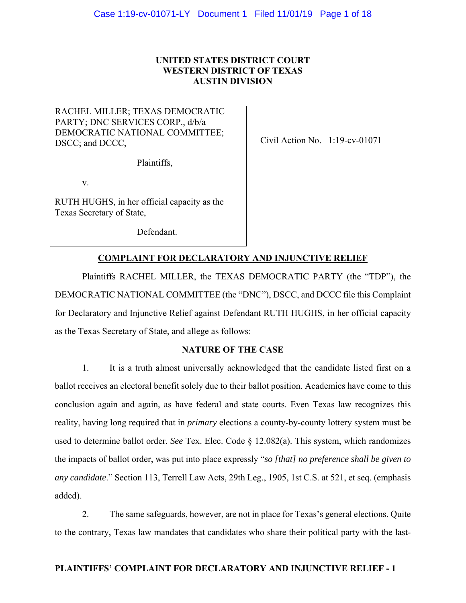# **UNITED STATES DISTRICT COURT WESTERN DISTRICT OF TEXAS AUSTIN DIVISION**

# RACHEL MILLER; TEXAS DEMOCRATIC PARTY; DNC SERVICES CORP., d/b/a DEMOCRATIC NATIONAL COMMITTEE; DSCC; and DCCC,

Plaintiffs,

v.

RUTH HUGHS, in her official capacity as the Texas Secretary of State,

Defendant.

Civil Action No. 1:19-cv-01071

# **COMPLAINT FOR DECLARATORY AND INJUNCTIVE RELIEF**

Plaintiffs RACHEL MILLER, the TEXAS DEMOCRATIC PARTY (the "TDP"), the DEMOCRATIC NATIONAL COMMITTEE (the "DNC"), DSCC, and DCCC file this Complaint for Declaratory and Injunctive Relief against Defendant RUTH HUGHS, in her official capacity as the Texas Secretary of State, and allege as follows:

# **NATURE OF THE CASE**

1. It is a truth almost universally acknowledged that the candidate listed first on a ballot receives an electoral benefit solely due to their ballot position. Academics have come to this conclusion again and again, as have federal and state courts. Even Texas law recognizes this reality, having long required that in *primary* elections a county-by-county lottery system must be used to determine ballot order. *See* Tex. Elec. Code § 12.082(a). This system, which randomizes the impacts of ballot order, was put into place expressly "*so [that] no preference shall be given to any candidate*." Section 113, Terrell Law Acts, 29th Leg., 1905, 1st C.S. at 521, et seq. (emphasis added).

2. The same safeguards, however, are not in place for Texas's general elections. Quite to the contrary, Texas law mandates that candidates who share their political party with the last-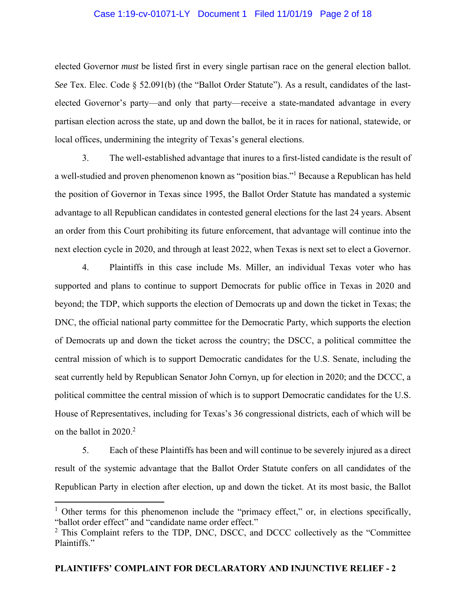## Case 1:19-cv-01071-LY Document 1 Filed 11/01/19 Page 2 of 18

elected Governor *must* be listed first in every single partisan race on the general election ballot. *See* Tex. Elec. Code § 52.091(b) (the "Ballot Order Statute"). As a result, candidates of the lastelected Governor's party—and only that party—receive a state-mandated advantage in every partisan election across the state, up and down the ballot, be it in races for national, statewide, or local offices, undermining the integrity of Texas's general elections.

3. The well-established advantage that inures to a first-listed candidate is the result of a well-studied and proven phenomenon known as "position bias."<sup>1</sup> Because a Republican has held the position of Governor in Texas since 1995, the Ballot Order Statute has mandated a systemic advantage to all Republican candidates in contested general elections for the last 24 years. Absent an order from this Court prohibiting its future enforcement, that advantage will continue into the next election cycle in 2020, and through at least 2022, when Texas is next set to elect a Governor.

4. Plaintiffs in this case include Ms. Miller, an individual Texas voter who has supported and plans to continue to support Democrats for public office in Texas in 2020 and beyond; the TDP, which supports the election of Democrats up and down the ticket in Texas; the DNC, the official national party committee for the Democratic Party, which supports the election of Democrats up and down the ticket across the country; the DSCC, a political committee the central mission of which is to support Democratic candidates for the U.S. Senate, including the seat currently held by Republican Senator John Cornyn, up for election in 2020; and the DCCC, a political committee the central mission of which is to support Democratic candidates for the U.S. House of Representatives, including for Texas's 36 congressional districts, each of which will be on the ballot in  $2020.<sup>2</sup>$ 

5. Each of these Plaintiffs has been and will continue to be severely injured as a direct result of the systemic advantage that the Ballot Order Statute confers on all candidates of the Republican Party in election after election, up and down the ticket. At its most basic, the Ballot

<sup>&</sup>lt;sup>1</sup> Other terms for this phenomenon include the "primacy effect," or, in elections specifically, "ballot order effect" and "candidate name order effect."

 $2$  This Complaint refers to the TDP, DNC, DSCC, and DCCC collectively as the "Committee" Plaintiffs."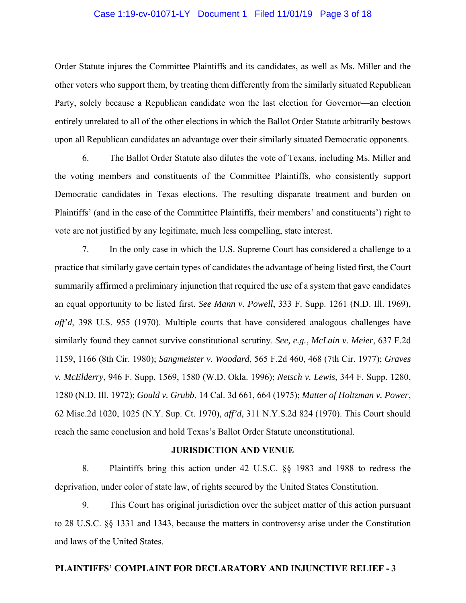## Case 1:19-cv-01071-LY Document 1 Filed 11/01/19 Page 3 of 18

Order Statute injures the Committee Plaintiffs and its candidates, as well as Ms. Miller and the other voters who support them, by treating them differently from the similarly situated Republican Party, solely because a Republican candidate won the last election for Governor—an election entirely unrelated to all of the other elections in which the Ballot Order Statute arbitrarily bestows upon all Republican candidates an advantage over their similarly situated Democratic opponents.

6. The Ballot Order Statute also dilutes the vote of Texans, including Ms. Miller and the voting members and constituents of the Committee Plaintiffs, who consistently support Democratic candidates in Texas elections. The resulting disparate treatment and burden on Plaintiffs' (and in the case of the Committee Plaintiffs, their members' and constituents') right to vote are not justified by any legitimate, much less compelling, state interest.

7. In the only case in which the U.S. Supreme Court has considered a challenge to a practice that similarly gave certain types of candidates the advantage of being listed first, the Court summarily affirmed a preliminary injunction that required the use of a system that gave candidates an equal opportunity to be listed first. *See Mann v. Powell*, 333 F. Supp. 1261 (N.D. Ill. 1969), *aff'd*, 398 U.S. 955 (1970). Multiple courts that have considered analogous challenges have similarly found they cannot survive constitutional scrutiny. *See, e.g.*, *McLain v. Meier*, 637 F.2d 1159, 1166 (8th Cir. 1980); *Sangmeister v. Woodard*, 565 F.2d 460, 468 (7th Cir. 1977); *Graves v. McElderry*, 946 F. Supp. 1569, 1580 (W.D. Okla. 1996); *Netsch v. Lewis*, 344 F. Supp. 1280, 1280 (N.D. Ill. 1972); *Gould v. Grubb*, 14 Cal. 3d 661, 664 (1975); *Matter of Holtzman v. Power*, 62 Misc.2d 1020, 1025 (N.Y. Sup. Ct. 1970), *aff'd*, 311 N.Y.S.2d 824 (1970). This Court should reach the same conclusion and hold Texas's Ballot Order Statute unconstitutional.

#### **JURISDICTION AND VENUE**

8. Plaintiffs bring this action under 42 U.S.C. §§ 1983 and 1988 to redress the deprivation, under color of state law, of rights secured by the United States Constitution.

9. This Court has original jurisdiction over the subject matter of this action pursuant to 28 U.S.C. §§ 1331 and 1343, because the matters in controversy arise under the Constitution and laws of the United States.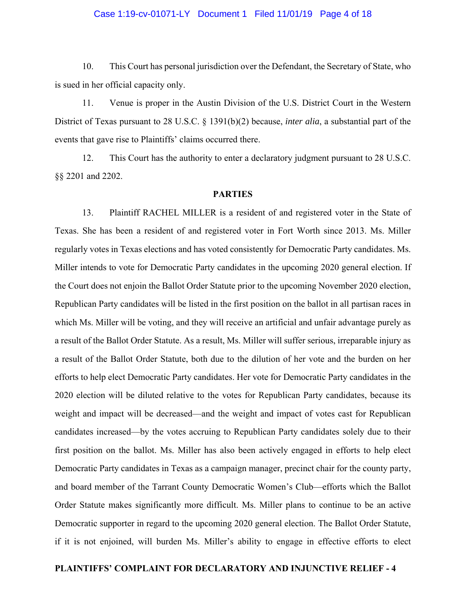### Case 1:19-cv-01071-LY Document 1 Filed 11/01/19 Page 4 of 18

10. This Court has personal jurisdiction over the Defendant, the Secretary of State, who is sued in her official capacity only.

11. Venue is proper in the Austin Division of the U.S. District Court in the Western District of Texas pursuant to 28 U.S.C. § 1391(b)(2) because, *inter alia*, a substantial part of the events that gave rise to Plaintiffs' claims occurred there.

12. This Court has the authority to enter a declaratory judgment pursuant to 28 U.S.C. §§ 2201 and 2202.

#### **PARTIES**

13. Plaintiff RACHEL MILLER is a resident of and registered voter in the State of Texas. She has been a resident of and registered voter in Fort Worth since 2013. Ms. Miller regularly votes in Texas elections and has voted consistently for Democratic Party candidates. Ms. Miller intends to vote for Democratic Party candidates in the upcoming 2020 general election. If the Court does not enjoin the Ballot Order Statute prior to the upcoming November 2020 election, Republican Party candidates will be listed in the first position on the ballot in all partisan races in which Ms. Miller will be voting, and they will receive an artificial and unfair advantage purely as a result of the Ballot Order Statute. As a result, Ms. Miller will suffer serious, irreparable injury as a result of the Ballot Order Statute, both due to the dilution of her vote and the burden on her efforts to help elect Democratic Party candidates. Her vote for Democratic Party candidates in the 2020 election will be diluted relative to the votes for Republican Party candidates, because its weight and impact will be decreased—and the weight and impact of votes cast for Republican candidates increased—by the votes accruing to Republican Party candidates solely due to their first position on the ballot. Ms. Miller has also been actively engaged in efforts to help elect Democratic Party candidates in Texas as a campaign manager, precinct chair for the county party, and board member of the Tarrant County Democratic Women's Club—efforts which the Ballot Order Statute makes significantly more difficult. Ms. Miller plans to continue to be an active Democratic supporter in regard to the upcoming 2020 general election. The Ballot Order Statute, if it is not enjoined, will burden Ms. Miller's ability to engage in effective efforts to elect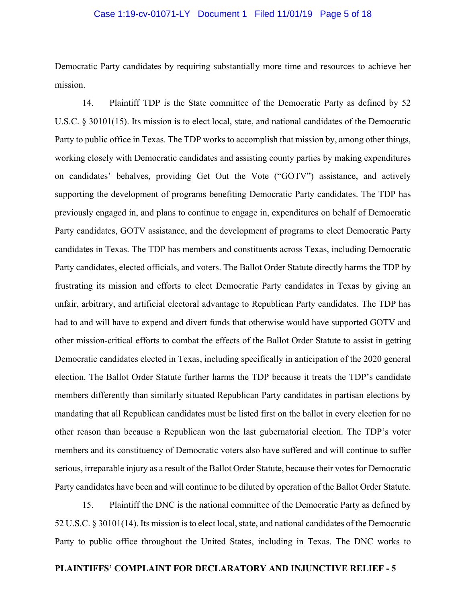## Case 1:19-cv-01071-LY Document 1 Filed 11/01/19 Page 5 of 18

Democratic Party candidates by requiring substantially more time and resources to achieve her mission.

14. Plaintiff TDP is the State committee of the Democratic Party as defined by 52 U.S.C. § 30101(15). Its mission is to elect local, state, and national candidates of the Democratic Party to public office in Texas. The TDP works to accomplish that mission by, among other things, working closely with Democratic candidates and assisting county parties by making expenditures on candidates' behalves, providing Get Out the Vote ("GOTV") assistance, and actively supporting the development of programs benefiting Democratic Party candidates. The TDP has previously engaged in, and plans to continue to engage in, expenditures on behalf of Democratic Party candidates, GOTV assistance, and the development of programs to elect Democratic Party candidates in Texas. The TDP has members and constituents across Texas, including Democratic Party candidates, elected officials, and voters. The Ballot Order Statute directly harms the TDP by frustrating its mission and efforts to elect Democratic Party candidates in Texas by giving an unfair, arbitrary, and artificial electoral advantage to Republican Party candidates. The TDP has had to and will have to expend and divert funds that otherwise would have supported GOTV and other mission-critical efforts to combat the effects of the Ballot Order Statute to assist in getting Democratic candidates elected in Texas, including specifically in anticipation of the 2020 general election. The Ballot Order Statute further harms the TDP because it treats the TDP's candidate members differently than similarly situated Republican Party candidates in partisan elections by mandating that all Republican candidates must be listed first on the ballot in every election for no other reason than because a Republican won the last gubernatorial election. The TDP's voter members and its constituency of Democratic voters also have suffered and will continue to suffer serious, irreparable injury as a result of the Ballot Order Statute, because their votes for Democratic Party candidates have been and will continue to be diluted by operation of the Ballot Order Statute.

15. Plaintiff the DNC is the national committee of the Democratic Party as defined by 52 U.S.C. § 30101(14). Its mission is to elect local, state, and national candidates of the Democratic Party to public office throughout the United States, including in Texas. The DNC works to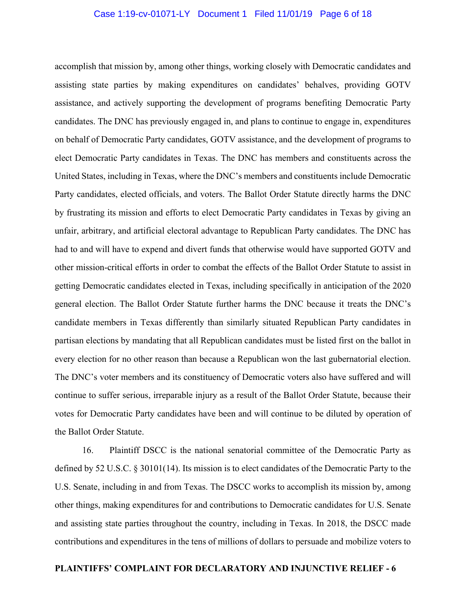## Case 1:19-cv-01071-LY Document 1 Filed 11/01/19 Page 6 of 18

accomplish that mission by, among other things, working closely with Democratic candidates and assisting state parties by making expenditures on candidates' behalves, providing GOTV assistance, and actively supporting the development of programs benefiting Democratic Party candidates. The DNC has previously engaged in, and plans to continue to engage in, expenditures on behalf of Democratic Party candidates, GOTV assistance, and the development of programs to elect Democratic Party candidates in Texas. The DNC has members and constituents across the United States, including in Texas, where the DNC's members and constituents include Democratic Party candidates, elected officials, and voters. The Ballot Order Statute directly harms the DNC by frustrating its mission and efforts to elect Democratic Party candidates in Texas by giving an unfair, arbitrary, and artificial electoral advantage to Republican Party candidates. The DNC has had to and will have to expend and divert funds that otherwise would have supported GOTV and other mission-critical efforts in order to combat the effects of the Ballot Order Statute to assist in getting Democratic candidates elected in Texas, including specifically in anticipation of the 2020 general election. The Ballot Order Statute further harms the DNC because it treats the DNC's candidate members in Texas differently than similarly situated Republican Party candidates in partisan elections by mandating that all Republican candidates must be listed first on the ballot in every election for no other reason than because a Republican won the last gubernatorial election. The DNC's voter members and its constituency of Democratic voters also have suffered and will continue to suffer serious, irreparable injury as a result of the Ballot Order Statute, because their votes for Democratic Party candidates have been and will continue to be diluted by operation of the Ballot Order Statute.

16. Plaintiff DSCC is the national senatorial committee of the Democratic Party as defined by 52 U.S.C. § 30101(14). Its mission is to elect candidates of the Democratic Party to the U.S. Senate, including in and from Texas. The DSCC works to accomplish its mission by, among other things, making expenditures for and contributions to Democratic candidates for U.S. Senate and assisting state parties throughout the country, including in Texas. In 2018, the DSCC made contributions and expenditures in the tens of millions of dollars to persuade and mobilize voters to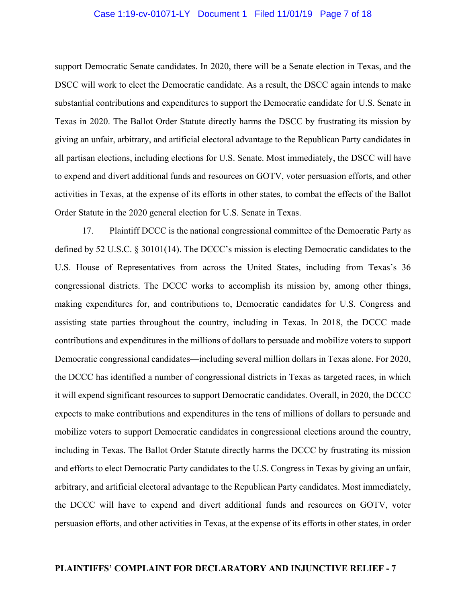## Case 1:19-cv-01071-LY Document 1 Filed 11/01/19 Page 7 of 18

support Democratic Senate candidates. In 2020, there will be a Senate election in Texas, and the DSCC will work to elect the Democratic candidate. As a result, the DSCC again intends to make substantial contributions and expenditures to support the Democratic candidate for U.S. Senate in Texas in 2020. The Ballot Order Statute directly harms the DSCC by frustrating its mission by giving an unfair, arbitrary, and artificial electoral advantage to the Republican Party candidates in all partisan elections, including elections for U.S. Senate. Most immediately, the DSCC will have to expend and divert additional funds and resources on GOTV, voter persuasion efforts, and other activities in Texas, at the expense of its efforts in other states, to combat the effects of the Ballot Order Statute in the 2020 general election for U.S. Senate in Texas.

17. Plaintiff DCCC is the national congressional committee of the Democratic Party as defined by 52 U.S.C. § 30101(14). The DCCC's mission is electing Democratic candidates to the U.S. House of Representatives from across the United States, including from Texas's 36 congressional districts. The DCCC works to accomplish its mission by, among other things, making expenditures for, and contributions to, Democratic candidates for U.S. Congress and assisting state parties throughout the country, including in Texas. In 2018, the DCCC made contributions and expenditures in the millions of dollars to persuade and mobilize voters to support Democratic congressional candidates—including several million dollars in Texas alone. For 2020, the DCCC has identified a number of congressional districts in Texas as targeted races, in which it will expend significant resources to support Democratic candidates. Overall, in 2020, the DCCC expects to make contributions and expenditures in the tens of millions of dollars to persuade and mobilize voters to support Democratic candidates in congressional elections around the country, including in Texas. The Ballot Order Statute directly harms the DCCC by frustrating its mission and efforts to elect Democratic Party candidates to the U.S. Congress in Texas by giving an unfair, arbitrary, and artificial electoral advantage to the Republican Party candidates. Most immediately, the DCCC will have to expend and divert additional funds and resources on GOTV, voter persuasion efforts, and other activities in Texas, at the expense of its efforts in other states, in order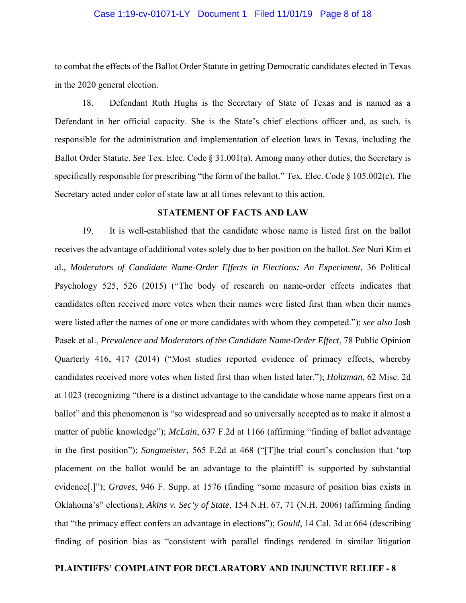## Case 1:19-cv-01071-LY Document 1 Filed 11/01/19 Page 8 of 18

to combat the effects of the Ballot Order Statute in getting Democratic candidates elected in Texas in the 2020 general election.

18. Defendant Ruth Hughs is the Secretary of State of Texas and is named as a Defendant in her official capacity. She is the State's chief elections officer and, as such, is responsible for the administration and implementation of election laws in Texas, including the Ballot Order Statute. *See* Tex. Elec. Code § 31.001(a). Among many other duties, the Secretary is specifically responsible for prescribing "the form of the ballot." Tex. Elec. Code § 105.002(c). The Secretary acted under color of state law at all times relevant to this action.

### **STATEMENT OF FACTS AND LAW**

19. It is well-established that the candidate whose name is listed first on the ballot receives the advantage of additional votes solely due to her position on the ballot. *See* Nuri Kim et al., *Moderators of Candidate Name-Order Effects in Elections: An Experiment*, 36 Political Psychology 525, 526 (2015) ("The body of research on name-order effects indicates that candidates often received more votes when their names were listed first than when their names were listed after the names of one or more candidates with whom they competed."); *see also* Josh Pasek et al., *Prevalence and Moderators of the Candidate Name-Order Effect*, 78 Public Opinion Quarterly 416, 417 (2014) ("Most studies reported evidence of primacy effects, whereby candidates received more votes when listed first than when listed later."); *Holtzman*, 62 Misc. 2d at 1023 (recognizing "there is a distinct advantage to the candidate whose name appears first on a ballot" and this phenomenon is "so widespread and so universally accepted as to make it almost a matter of public knowledge"); *McLain*, 637 F.2d at 1166 (affirming "finding of ballot advantage in the first position"); *Sangmeister*, 565 F.2d at 468 ("[T]he trial court's conclusion that 'top placement on the ballot would be an advantage to the plaintiff' is supported by substantial evidence[.]"); *Graves*, 946 F. Supp. at 1576 (finding "some measure of position bias exists in Oklahoma's" elections); *Akins v. Sec'y of State*, 154 N.H. 67, 71 (N.H. 2006) (affirming finding that "the primacy effect confers an advantage in elections"); *Gould*, 14 Cal. 3d at 664 (describing finding of position bias as "consistent with parallel findings rendered in similar litigation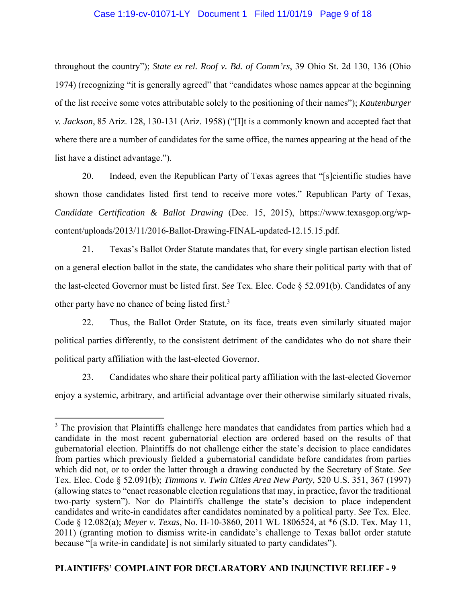## Case 1:19-cv-01071-LY Document 1 Filed 11/01/19 Page 9 of 18

throughout the country"); *State ex rel. Roof v. Bd. of Comm'rs*, 39 Ohio St. 2d 130, 136 (Ohio 1974) (recognizing "it is generally agreed" that "candidates whose names appear at the beginning of the list receive some votes attributable solely to the positioning of their names"); *Kautenburger v. Jackson*, 85 Ariz. 128, 130-131 (Ariz. 1958) ("[I]t is a commonly known and accepted fact that where there are a number of candidates for the same office, the names appearing at the head of the list have a distinct advantage.").

20. Indeed, even the Republican Party of Texas agrees that "[s]cientific studies have shown those candidates listed first tend to receive more votes." Republican Party of Texas, *Candidate Certification & Ballot Drawing* (Dec. 15, 2015), https://www.texasgop.org/wpcontent/uploads/2013/11/2016-Ballot-Drawing-FINAL-updated-12.15.15.pdf.

21. Texas's Ballot Order Statute mandates that, for every single partisan election listed on a general election ballot in the state, the candidates who share their political party with that of the last-elected Governor must be listed first. *See* Tex. Elec. Code § 52.091(b). Candidates of any other party have no chance of being listed first.<sup>3</sup>

22. Thus, the Ballot Order Statute, on its face, treats even similarly situated major political parties differently, to the consistent detriment of the candidates who do not share their political party affiliation with the last-elected Governor.

23. Candidates who share their political party affiliation with the last-elected Governor enjoy a systemic, arbitrary, and artificial advantage over their otherwise similarly situated rivals,

<sup>&</sup>lt;sup>3</sup> The provision that Plaintiffs challenge here mandates that candidates from parties which had a candidate in the most recent gubernatorial election are ordered based on the results of that gubernatorial election. Plaintiffs do not challenge either the state's decision to place candidates from parties which previously fielded a gubernatorial candidate before candidates from parties which did not, or to order the latter through a drawing conducted by the Secretary of State. *See*  Tex. Elec. Code § 52.091(b); *Timmons v. Twin Cities Area New Party*, 520 U.S. 351, 367 (1997) (allowing states to "enact reasonable election regulations that may, in practice, favor the traditional two-party system"). Nor do Plaintiffs challenge the state's decision to place independent candidates and write-in candidates after candidates nominated by a political party. *See* Tex. Elec. Code § 12.082(a); *Meyer v. Texas*, No. H-10-3860, 2011 WL 1806524, at \*6 (S.D. Tex. May 11, 2011) (granting motion to dismiss write-in candidate's challenge to Texas ballot order statute because "[a write-in candidate] is not similarly situated to party candidates").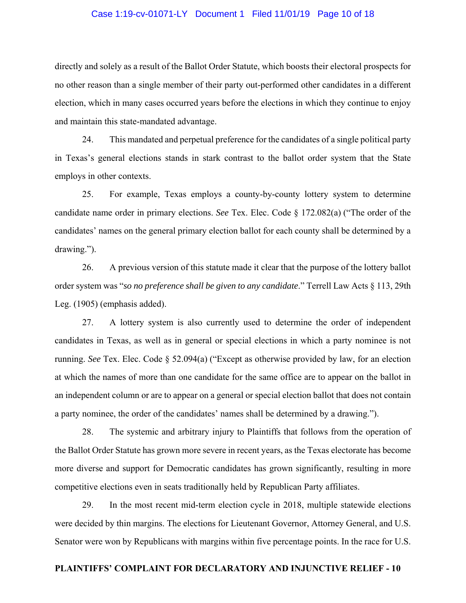## Case 1:19-cv-01071-LY Document 1 Filed 11/01/19 Page 10 of 18

directly and solely as a result of the Ballot Order Statute, which boosts their electoral prospects for no other reason than a single member of their party out-performed other candidates in a different election, which in many cases occurred years before the elections in which they continue to enjoy and maintain this state-mandated advantage.

24. This mandated and perpetual preference for the candidates of a single political party in Texas's general elections stands in stark contrast to the ballot order system that the State employs in other contexts.

25. For example, Texas employs a county-by-county lottery system to determine candidate name order in primary elections. *See* Tex. Elec. Code § 172.082(a) ("The order of the candidates' names on the general primary election ballot for each county shall be determined by a drawing.").

26. A previous version of this statute made it clear that the purpose of the lottery ballot order system was "*so no preference shall be given to any candidate*." Terrell Law Acts § 113, 29th Leg. (1905) (emphasis added).

27. A lottery system is also currently used to determine the order of independent candidates in Texas, as well as in general or special elections in which a party nominee is not running. *See* Tex. Elec. Code § 52.094(a) ("Except as otherwise provided by law, for an election at which the names of more than one candidate for the same office are to appear on the ballot in an independent column or are to appear on a general or special election ballot that does not contain a party nominee, the order of the candidates' names shall be determined by a drawing.").

28. The systemic and arbitrary injury to Plaintiffs that follows from the operation of the Ballot Order Statute has grown more severe in recent years, as the Texas electorate has become more diverse and support for Democratic candidates has grown significantly, resulting in more competitive elections even in seats traditionally held by Republican Party affiliates.

29. In the most recent mid-term election cycle in 2018, multiple statewide elections were decided by thin margins. The elections for Lieutenant Governor, Attorney General, and U.S. Senator were won by Republicans with margins within five percentage points. In the race for U.S.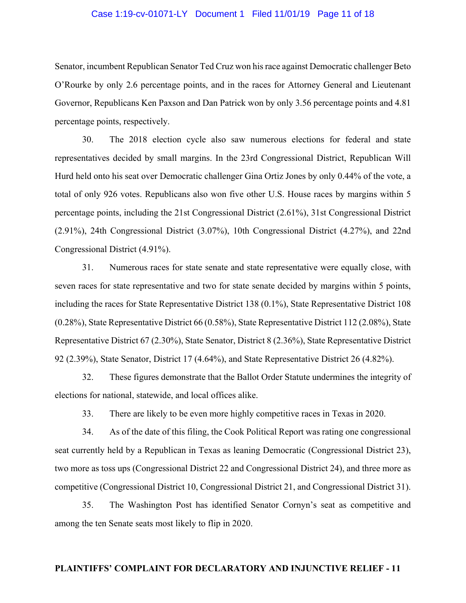## Case 1:19-cv-01071-LY Document 1 Filed 11/01/19 Page 11 of 18

Senator, incumbent Republican Senator Ted Cruz won his race against Democratic challenger Beto O'Rourke by only 2.6 percentage points, and in the races for Attorney General and Lieutenant Governor, Republicans Ken Paxson and Dan Patrick won by only 3.56 percentage points and 4.81 percentage points, respectively.

30. The 2018 election cycle also saw numerous elections for federal and state representatives decided by small margins. In the 23rd Congressional District, Republican Will Hurd held onto his seat over Democratic challenger Gina Ortiz Jones by only 0.44% of the vote, a total of only 926 votes. Republicans also won five other U.S. House races by margins within 5 percentage points, including the 21st Congressional District (2.61%), 31st Congressional District (2.91%), 24th Congressional District (3.07%), 10th Congressional District (4.27%), and 22nd Congressional District (4.91%).

31. Numerous races for state senate and state representative were equally close, with seven races for state representative and two for state senate decided by margins within 5 points, including the races for State Representative District 138 (0.1%), State Representative District 108 (0.28%), State Representative District 66 (0.58%), State Representative District 112 (2.08%), State Representative District 67 (2.30%), State Senator, District 8 (2.36%), State Representative District 92 (2.39%), State Senator, District 17 (4.64%), and State Representative District 26 (4.82%).

32. These figures demonstrate that the Ballot Order Statute undermines the integrity of elections for national, statewide, and local offices alike.

33. There are likely to be even more highly competitive races in Texas in 2020.

34. As of the date of this filing, the Cook Political Report was rating one congressional seat currently held by a Republican in Texas as leaning Democratic (Congressional District 23), two more as toss ups (Congressional District 22 and Congressional District 24), and three more as competitive (Congressional District 10, Congressional District 21, and Congressional District 31).

35. The Washington Post has identified Senator Cornyn's seat as competitive and among the ten Senate seats most likely to flip in 2020.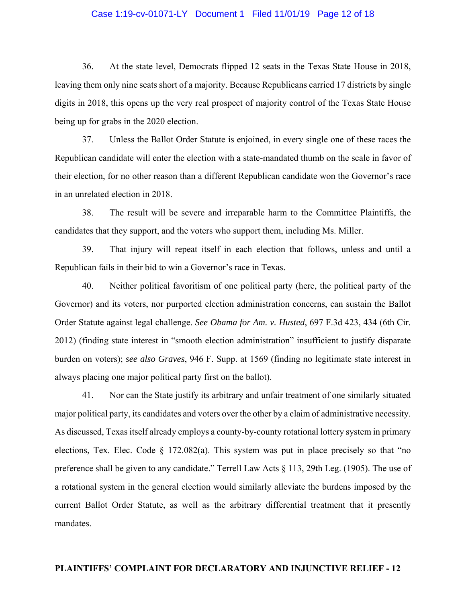## Case 1:19-cv-01071-LY Document 1 Filed 11/01/19 Page 12 of 18

36. At the state level, Democrats flipped 12 seats in the Texas State House in 2018, leaving them only nine seats short of a majority. Because Republicans carried 17 districts by single digits in 2018, this opens up the very real prospect of majority control of the Texas State House being up for grabs in the 2020 election.

37. Unless the Ballot Order Statute is enjoined, in every single one of these races the Republican candidate will enter the election with a state-mandated thumb on the scale in favor of their election, for no other reason than a different Republican candidate won the Governor's race in an unrelated election in 2018.

38. The result will be severe and irreparable harm to the Committee Plaintiffs, the candidates that they support, and the voters who support them, including Ms. Miller.

39. That injury will repeat itself in each election that follows, unless and until a Republican fails in their bid to win a Governor's race in Texas.

40. Neither political favoritism of one political party (here, the political party of the Governor) and its voters, nor purported election administration concerns, can sustain the Ballot Order Statute against legal challenge. *See Obama for Am. v. Husted*, 697 F.3d 423, 434 (6th Cir. 2012) (finding state interest in "smooth election administration" insufficient to justify disparate burden on voters); *see also Graves*, 946 F. Supp. at 1569 (finding no legitimate state interest in always placing one major political party first on the ballot).

41. Nor can the State justify its arbitrary and unfair treatment of one similarly situated major political party, its candidates and voters over the other by a claim of administrative necessity. As discussed, Texas itself already employs a county-by-county rotational lottery system in primary elections, Tex. Elec. Code  $\S$  172.082(a). This system was put in place precisely so that "no preference shall be given to any candidate." Terrell Law Acts § 113, 29th Leg. (1905). The use of a rotational system in the general election would similarly alleviate the burdens imposed by the current Ballot Order Statute, as well as the arbitrary differential treatment that it presently mandates.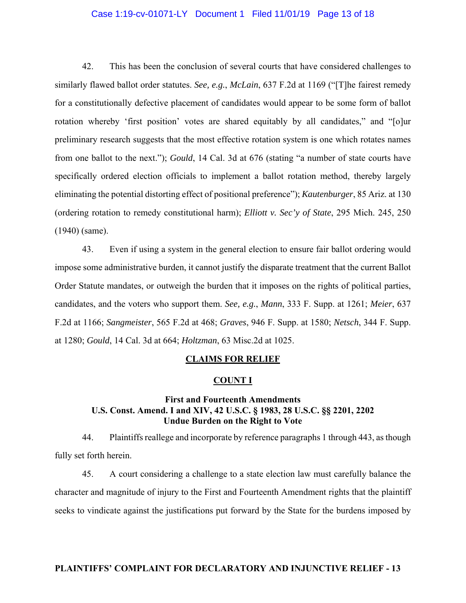## Case 1:19-cv-01071-LY Document 1 Filed 11/01/19 Page 13 of 18

42. This has been the conclusion of several courts that have considered challenges to similarly flawed ballot order statutes. *See, e.g.*, *McLain*, 637 F.2d at 1169 ("[T]he fairest remedy for a constitutionally defective placement of candidates would appear to be some form of ballot rotation whereby 'first position' votes are shared equitably by all candidates," and "[o]ur preliminary research suggests that the most effective rotation system is one which rotates names from one ballot to the next."); *Gould*, 14 Cal. 3d at 676 (stating "a number of state courts have specifically ordered election officials to implement a ballot rotation method, thereby largely eliminating the potential distorting effect of positional preference"); *Kautenburger*, 85 Ariz. at 130 (ordering rotation to remedy constitutional harm); *Elliott v. Sec'y of State*, 295 Mich. 245, 250 (1940) (same).

43. Even if using a system in the general election to ensure fair ballot ordering would impose some administrative burden, it cannot justify the disparate treatment that the current Ballot Order Statute mandates, or outweigh the burden that it imposes on the rights of political parties, candidates, and the voters who support them. *See, e.g.*, *Mann*, 333 F. Supp. at 1261; *Meier*, 637 F.2d at 1166; *Sangmeister*, 565 F.2d at 468; *Graves*, 946 F. Supp. at 1580; *Netsch*, 344 F. Supp. at 1280; *Gould*, 14 Cal. 3d at 664; *Holtzman*, 63 Misc.2d at 1025.

#### **CLAIMS FOR RELIEF**

#### **COUNT I**

# **First and Fourteenth Amendments U.S. Const. Amend. I and XIV, 42 U.S.C. § 1983, 28 U.S.C. §§ 2201, 2202 Undue Burden on the Right to Vote**

44. Plaintiffs reallege and incorporate by reference paragraphs 1 through 443, as though fully set forth herein.

45. A court considering a challenge to a state election law must carefully balance the character and magnitude of injury to the First and Fourteenth Amendment rights that the plaintiff seeks to vindicate against the justifications put forward by the State for the burdens imposed by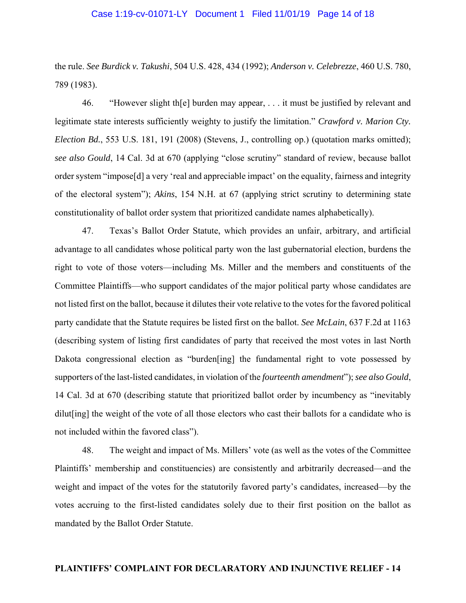#### Case 1:19-cv-01071-LY Document 1 Filed 11/01/19 Page 14 of 18

the rule. *See Burdick v. Takushi*, 504 U.S. 428, 434 (1992); *Anderson v. Celebrezze*, 460 U.S. 780, 789 (1983).

46. "However slight th[e] burden may appear, . . . it must be justified by relevant and legitimate state interests sufficiently weighty to justify the limitation." *Crawford v. Marion Cty. Election Bd.*, 553 U.S. 181, 191 (2008) (Stevens, J., controlling op.) (quotation marks omitted); *see also Gould*, 14 Cal. 3d at 670 (applying "close scrutiny" standard of review, because ballot order system "impose[d] a very 'real and appreciable impact' on the equality, fairness and integrity of the electoral system"); *Akins*, 154 N.H. at 67 (applying strict scrutiny to determining state constitutionality of ballot order system that prioritized candidate names alphabetically).

47. Texas's Ballot Order Statute, which provides an unfair, arbitrary, and artificial advantage to all candidates whose political party won the last gubernatorial election, burdens the right to vote of those voters—including Ms. Miller and the members and constituents of the Committee Plaintiffs—who support candidates of the major political party whose candidates are not listed first on the ballot, because it dilutes their vote relative to the votes for the favored political party candidate that the Statute requires be listed first on the ballot. *See McLain*, 637 F.2d at 1163 (describing system of listing first candidates of party that received the most votes in last North Dakota congressional election as "burden[ing] the fundamental right to vote possessed by supporters of the last-listed candidates, in violation of the *fourteenth amendment*"); *see also Gould*, 14 Cal. 3d at 670 (describing statute that prioritized ballot order by incumbency as "inevitably dilut[ing] the weight of the vote of all those electors who cast their ballots for a candidate who is not included within the favored class").

48. The weight and impact of Ms. Millers' vote (as well as the votes of the Committee Plaintiffs' membership and constituencies) are consistently and arbitrarily decreased—and the weight and impact of the votes for the statutorily favored party's candidates, increased—by the votes accruing to the first-listed candidates solely due to their first position on the ballot as mandated by the Ballot Order Statute.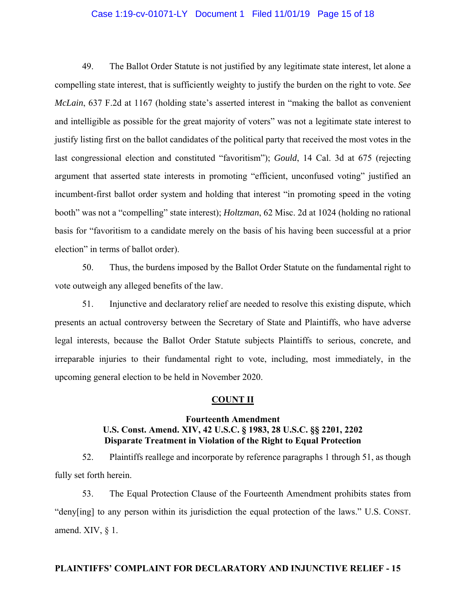## Case 1:19-cv-01071-LY Document 1 Filed 11/01/19 Page 15 of 18

49. The Ballot Order Statute is not justified by any legitimate state interest, let alone a compelling state interest, that is sufficiently weighty to justify the burden on the right to vote. *See McLain*, 637 F.2d at 1167 (holding state's asserted interest in "making the ballot as convenient and intelligible as possible for the great majority of voters" was not a legitimate state interest to justify listing first on the ballot candidates of the political party that received the most votes in the last congressional election and constituted "favoritism"); *Gould*, 14 Cal. 3d at 675 (rejecting argument that asserted state interests in promoting "efficient, unconfused voting" justified an incumbent-first ballot order system and holding that interest "in promoting speed in the voting booth" was not a "compelling" state interest); *Holtzman*, 62 Misc. 2d at 1024 (holding no rational basis for "favoritism to a candidate merely on the basis of his having been successful at a prior election" in terms of ballot order).

50. Thus, the burdens imposed by the Ballot Order Statute on the fundamental right to vote outweigh any alleged benefits of the law.

51. Injunctive and declaratory relief are needed to resolve this existing dispute, which presents an actual controversy between the Secretary of State and Plaintiffs, who have adverse legal interests, because the Ballot Order Statute subjects Plaintiffs to serious, concrete, and irreparable injuries to their fundamental right to vote, including, most immediately, in the upcoming general election to be held in November 2020.

## **COUNT II**

# **Fourteenth Amendment U.S. Const. Amend. XIV, 42 U.S.C. § 1983, 28 U.S.C. §§ 2201, 2202 Disparate Treatment in Violation of the Right to Equal Protection**

52. Plaintiffs reallege and incorporate by reference paragraphs 1 through 51, as though fully set forth herein.

53. The Equal Protection Clause of the Fourteenth Amendment prohibits states from "deny[ing] to any person within its jurisdiction the equal protection of the laws." U.S. CONST. amend. XIV, § 1.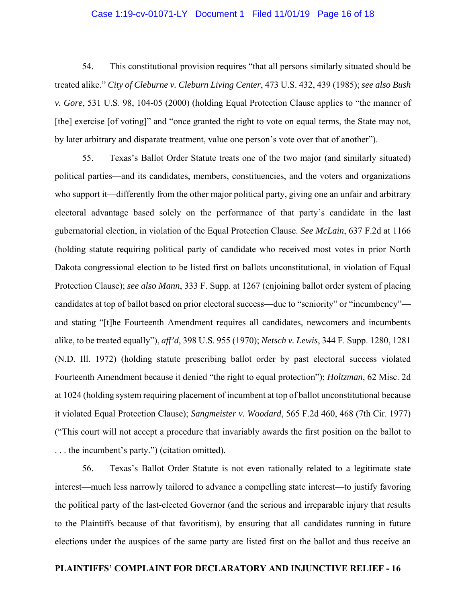## Case 1:19-cv-01071-LY Document 1 Filed 11/01/19 Page 16 of 18

54. This constitutional provision requires "that all persons similarly situated should be treated alike." *City of Cleburne v. Cleburn Living Center*, 473 U.S. 432, 439 (1985); *see also Bush v. Gore*, 531 U.S. 98, 104-05 (2000) (holding Equal Protection Clause applies to "the manner of [the] exercise [of voting]" and "once granted the right to vote on equal terms, the State may not, by later arbitrary and disparate treatment, value one person's vote over that of another").

55. Texas's Ballot Order Statute treats one of the two major (and similarly situated) political parties—and its candidates, members, constituencies, and the voters and organizations who support it—differently from the other major political party, giving one an unfair and arbitrary electoral advantage based solely on the performance of that party's candidate in the last gubernatorial election, in violation of the Equal Protection Clause. *See McLain*, 637 F.2d at 1166 (holding statute requiring political party of candidate who received most votes in prior North Dakota congressional election to be listed first on ballots unconstitutional, in violation of Equal Protection Clause); *see also Mann*, 333 F. Supp. at 1267 (enjoining ballot order system of placing candidates at top of ballot based on prior electoral success—due to "seniority" or "incumbency" and stating "[t]he Fourteenth Amendment requires all candidates, newcomers and incumbents alike, to be treated equally"), *aff'd*, 398 U.S. 955 (1970); *Netsch v. Lewis*, 344 F. Supp. 1280, 1281 (N.D. Ill. 1972) (holding statute prescribing ballot order by past electoral success violated Fourteenth Amendment because it denied "the right to equal protection"); *Holtzman*, 62 Misc. 2d at 1024 (holding system requiring placement of incumbent at top of ballot unconstitutional because it violated Equal Protection Clause); *Sangmeister v. Woodard*, 565 F.2d 460, 468 (7th Cir. 1977) ("This court will not accept a procedure that invariably awards the first position on the ballot to . . . the incumbent's party.") (citation omitted).

56. Texas's Ballot Order Statute is not even rationally related to a legitimate state interest—much less narrowly tailored to advance a compelling state interest—to justify favoring the political party of the last-elected Governor (and the serious and irreparable injury that results to the Plaintiffs because of that favoritism), by ensuring that all candidates running in future elections under the auspices of the same party are listed first on the ballot and thus receive an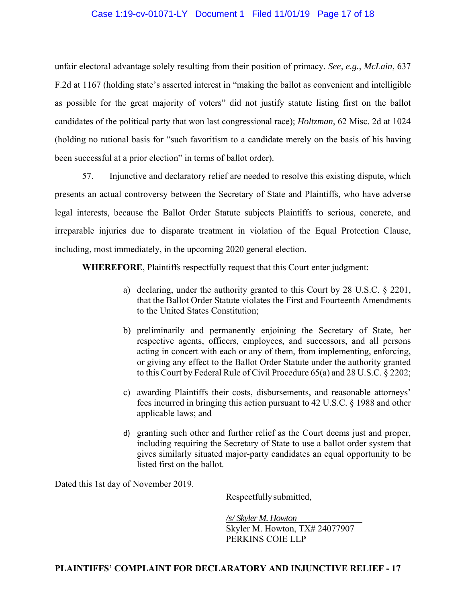# Case 1:19-cv-01071-LY Document 1 Filed 11/01/19 Page 17 of 18

unfair electoral advantage solely resulting from their position of primacy. *See, e.g.*, *McLain*, 637 F.2d at 1167 (holding state's asserted interest in "making the ballot as convenient and intelligible as possible for the great majority of voters" did not justify statute listing first on the ballot candidates of the political party that won last congressional race); *Holtzman*, 62 Misc. 2d at 1024 (holding no rational basis for "such favoritism to a candidate merely on the basis of his having been successful at a prior election" in terms of ballot order).

57. Injunctive and declaratory relief are needed to resolve this existing dispute, which presents an actual controversy between the Secretary of State and Plaintiffs, who have adverse legal interests, because the Ballot Order Statute subjects Plaintiffs to serious, concrete, and irreparable injuries due to disparate treatment in violation of the Equal Protection Clause, including, most immediately, in the upcoming 2020 general election.

 **WHEREFORE**, Plaintiffs respectfully request that this Court enter judgment:

- a) declaring, under the authority granted to this Court by 28 U.S.C. § 2201, that the Ballot Order Statute violates the First and Fourteenth Amendments to the United States Constitution;
- b) preliminarily and permanently enjoining the Secretary of State, her respective agents, officers, employees, and successors, and all persons acting in concert with each or any of them, from implementing, enforcing, or giving any effect to the Ballot Order Statute under the authority granted to this Court by Federal Rule of Civil Procedure 65(a) and 28 U.S.C. § 2202;
- c) awarding Plaintiffs their costs, disbursements, and reasonable attorneys' fees incurred in bringing this action pursuant to 42 U.S.C. § 1988 and other applicable laws; and
- d) granting such other and further relief as the Court deems just and proper, including requiring the Secretary of State to use a ballot order system that gives similarly situated major-party candidates an equal opportunity to be listed first on the ballot.

Dated this 1st day of November 2019.

Respectfully submitted,

*/s/ Skyler M. Howton*  Skyler M. Howton, TX# 24077907 PERKINS COIE LLP